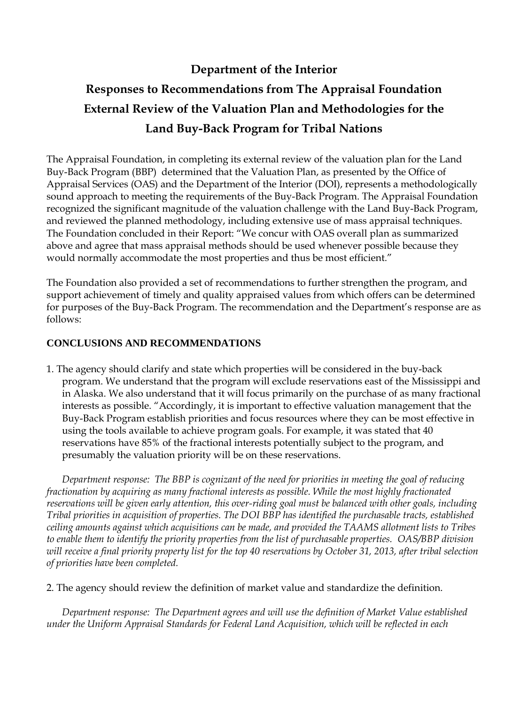## **Department of the Interior Responses to Recommendations from The Appraisal Foundation External Review of the Valuation Plan and Methodologies for the Land Buy-Back Program for Tribal Nations**

The Appraisal Foundation, in completing its external review of the valuation plan for the Land Buy-Back Program (BBP) determined that the Valuation Plan, as presented by the Office of Appraisal Services (OAS) and the Department of the Interior (DOI), represents a methodologically sound approach to meeting the requirements of the Buy-Back Program. The Appraisal Foundation recognized the significant magnitude of the valuation challenge with the Land Buy-Back Program, and reviewed the planned methodology, including extensive use of mass appraisal techniques. The Foundation concluded in their Report: "We concur with OAS overall plan as summarized above and agree that mass appraisal methods should be used whenever possible because they would normally accommodate the most properties and thus be most efficient."

The Foundation also provided a set of recommendations to further strengthen the program, and support achievement of timely and quality appraised values from which offers can be determined for purposes of the Buy-Back Program. The recommendation and the Department's response are as follows:

## **CONCLUSIONS AND RECOMMENDATIONS**

1. The agency should clarify and state which properties will be considered in the buy-back program. We understand that the program will exclude reservations east of the Mississippi and in Alaska. We also understand that it will focus primarily on the purchase of as many fractional interests as possible. "Accordingly, it is important to effective valuation management that the Buy-Back Program establish priorities and focus resources where they can be most effective in using the tools available to achieve program goals. For example, it was stated that 40 reservations have 85% of the fractional interests potentially subject to the program, and presumably the valuation priority will be on these reservations.

*Department response: The BBP is cognizant of the need for priorities in meeting the goal of reducing fractionation by acquiring as many fractional interests as possible. While the most highly fractionated reservations will be given early attention, this over-riding goal must be balanced with other goals, including Tribal priorities in acquisition of properties. The DOI BBP has identified the purchasable tracts, established ceiling amounts against which acquisitions can be made, and provided the TAAMS allotment lists to Tribes to enable them to identify the priority properties from the list of purchasable properties. OAS/BBP division will receive a final priority property list for the top 40 reservations by October 31, 2013, after tribal selection of priorities have been completed.*

2. The agency should review the definition of market value and standardize the definition.

*Department response: The Department agrees and will use the definition of Market Value established under the Uniform Appraisal Standards for Federal Land Acquisition, which will be reflected in each*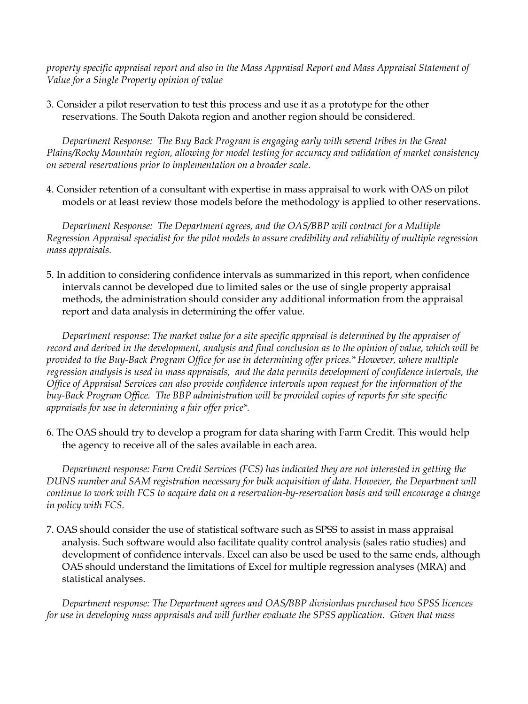*property specific appraisal report and also in the Mass Appraisal Report and Mass Appraisal Statement of Value for a Single Property opinion of value*

3. Consider a pilot reservation to test this process and use it as a prototype for the other reservations. The South Dakota region and another region should be considered.

*Department Response: The Buy Back Program is engaging early with several tribes in the Great Plains/Rocky Mountain region, allowing for model testing for accuracy and validation of market consistency on several reservations prior to implementation on a broader scale.*

4. Consider retention of a consultant with expertise in mass appraisal to work with OAS on pilot models or at least review those models before the methodology is applied to other reservations.

*Department Response: The Department agrees, and the OAS/BBP will contract for a Multiple Regression Appraisal specialist for the pilot models to assure credibility and reliability of multiple regression mass appraisals.*

5. In addition to considering confidence intervals as summarized in this report, when confidence intervals cannot be developed due to limited sales or the use of single property appraisal methods, the administration should consider any additional information from the appraisal report and data analysis in determining the offer value.

*Department response: The market value for a site specific appraisal is determined by the appraiser of record and derived in the development, analysis and final conclusion as to the opinion of value, which will be provided to the Buy-Back Program Office for use in determining offer prices.\* However, where multiple regression analysis is used in mass appraisals, and the data permits development of confidence intervals, the Office of Appraisal Services can also provide confidence intervals upon request for the information of the buy-Back Program Office. The BBP administration will be provided copies of reports for site specific appraisals for use in determining a fair offer price\*.* 

6. The OAS should try to develop a program for data sharing with Farm Credit. This would help the agency to receive all of the sales available in each area.

*Department response: Farm Credit Services (FCS) has indicated they are not interested in getting the DUNS number and SAM registration necessary for bulk acquisition of data. However, the Department will continue to work with FCS to acquire data on a reservation-by-reservation basis and will encourage a change in policy with FCS.*

7. OAS should consider the use of statistical software such as SPSS to assist in mass appraisal analysis. Such software would also facilitate quality control analysis (sales ratio studies) and development of confidence intervals. Excel can also be used be used to the same ends, although OAS should understand the limitations of Excel for multiple regression analyses (MRA) and statistical analyses.

*Department response: The Department agrees and OAS/BBP divisionhas purchased two SPSS licences for use in developing mass appraisals and will further evaluate the SPSS application. Given that mass*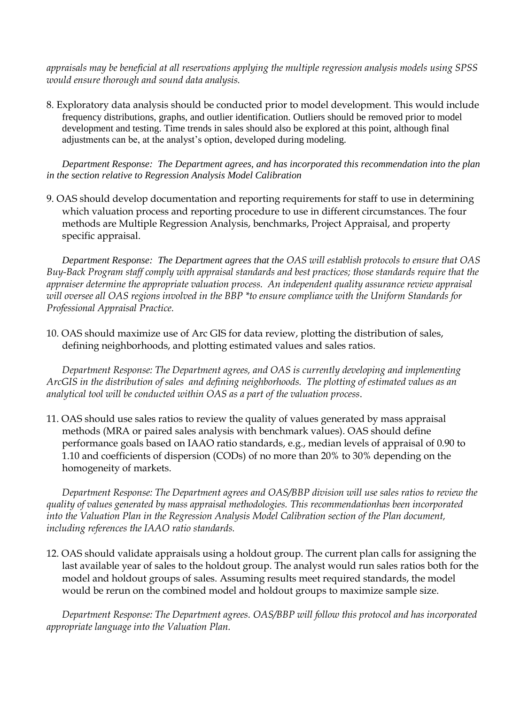*appraisals may be beneficial at all reservations applying the multiple regression analysis models using SPSS would ensure thorough and sound data analysis.*

8. Exploratory data analysis should be conducted prior to model development. This would include frequency distributions, graphs, and outlier identification. Outliers should be removed prior to model development and testing. Time trends in sales should also be explored at this point, although final adjustments can be, at the analyst's option, developed during modeling.

*Department Response: The Department agrees, and has incorporated this recommendation into the plan in the section relative to Regression Analysis Model Calibration*

9. OAS should develop documentation and reporting requirements for staff to use in determining which valuation process and reporting procedure to use in different circumstances. The four methods are Multiple Regression Analysis, benchmarks, Project Appraisal, and property specific appraisal.

*Department Response: The Department agrees that the OAS will establish protocols to ensure that OAS Buy-Back Program staff comply with appraisal standards and best practices; those standards require that the appraiser determine the appropriate valuation process. An independent quality assurance review appraisal will oversee all OAS regions involved in the BBP \*to ensure compliance with the Uniform Standards for Professional Appraisal Practice.*

10. OAS should maximize use of Arc GIS for data review, plotting the distribution of sales, defining neighborhoods, and plotting estimated values and sales ratios.

*Department Response: The Department agrees, and OAS is currently developing and implementing ArcGIS in the distribution of sales and defining neighborhoods. The plotting of estimated values as an analytical tool will be conducted within OAS as a part of the valuation process*.

11. OAS should use sales ratios to review the quality of values generated by mass appraisal methods (MRA or paired sales analysis with benchmark values). OAS should define performance goals based on IAAO ratio standards, e.g., median levels of appraisal of 0.90 to 1.10 and coefficients of dispersion (CODs) of no more than 20% to 30% depending on the homogeneity of markets.

*Department Response: The Department agrees and OAS/BBP division will use sales ratios to review the quality of values generated by mass appraisal methodologies. This recommendationhas been incorporated into the Valuation Plan in the Regression Analysis Model Calibration section of the Plan document, including references the IAAO ratio standards.*

12. OAS should validate appraisals using a holdout group. The current plan calls for assigning the last available year of sales to the holdout group. The analyst would run sales ratios both for the model and holdout groups of sales. Assuming results meet required standards, the model would be rerun on the combined model and holdout groups to maximize sample size.

*Department Response: The Department agrees. OAS/BBP will follow this protocol and has incorporated appropriate language into the Valuation Plan.*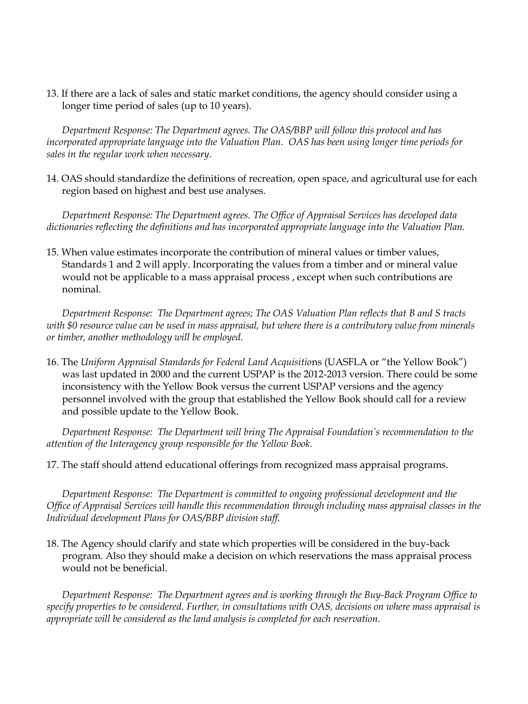13. If there are a lack of sales and static market conditions, the agency should consider using a longer time period of sales (up to 10 years).

*Department Response: The Department agrees. The OAS/BBP will follow this protocol and has incorporated appropriate language into the Valuation Plan. OAS has been using longer time periods for sales in the regular work when necessary.*

14. OAS should standardize the definitions of recreation, open space, and agricultural use for each region based on highest and best use analyses.

*Department Response: The Department agrees. The Office of Appraisal Services has developed data dictionaries reflecting the definitions and has incorporated appropriate language into the Valuation Plan.*

15. When value estimates incorporate the contribution of mineral values or timber values, Standards 1 and 2 will apply. Incorporating the values from a timber and or mineral value would not be applicable to a mass appraisal process , except when such contributions are nominal.

*Department Response: The Department agrees; The OAS Valuation Plan reflects that B and S tracts with \$0 resource value can be used in mass appraisal, but where there is a contributory value from minerals or timber, another methodology will be employed.*

16. The *Uniform Appraisal Standards for Federal Land Acquisitio*ns (UASFLA or "the Yellow Book") was last updated in 2000 and the current USPAP is the 2012-2013 version. There could be some inconsistency with the Yellow Book versus the current USPAP versions and the agency personnel involved with the group that established the Yellow Book should call for a review and possible update to the Yellow Book.

*Department Response: The Department will bring The Appraisal Foundation's recommendation to the attention of the Interagency group responsible for the Yellow Book.*

17. The staff should attend educational offerings from recognized mass appraisal programs.

*Department Response: The Department is committed to ongoing professional development and the Office of Appraisal Services will handle this recommendation through including mass appraisal classes in the Individual development Plans for OAS/BBP division staff.*

18. The Agency should clarify and state which properties will be considered in the buy-back program. Also they should make a decision on which reservations the mass appraisal process would not be beneficial.

*Department Response: The Department agrees and is working through the Buy-Back Program Office to specify properties to be considered. Further, in consultations with OAS, decisions on where mass appraisal is appropriate will be considered as the land analysis is completed for each reservation.*